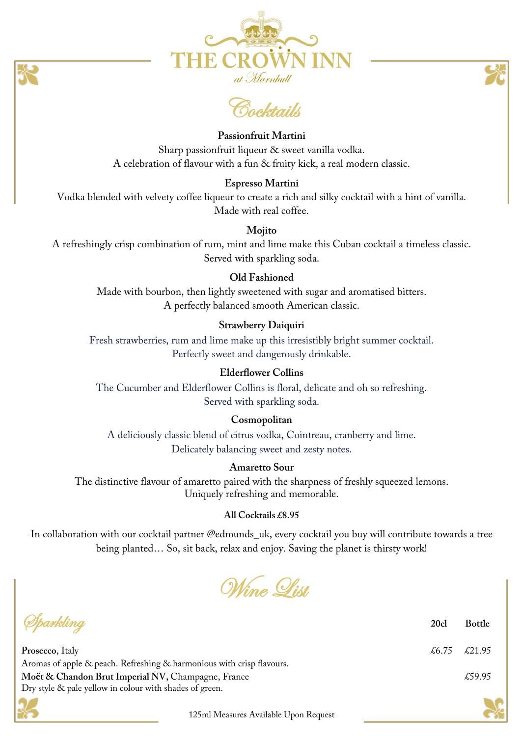

Cocktails

## **Passionfruit Martini**

Sharp passionfruit liqueur & sweet vanilla vodka. A celebration of flavour with a fun & fruity kick, a real modern classic.

### **Espresso Martini**

Vodka blended with velvety coffee liqueur to create a rich and silky cocktail with a hint of vanilla. Made with real coffee.

## **Mojito**

A refreshingly crisp combination of rum, mint and lime make this Cuban cocktail a timeless classic. Served with sparkling soda.

# **Old Fashioned**

Made with bourbon, then lightly sweetened with sugar and aromatised bitters. A perfectly balanced smooth American classic.

### **Strawberry Daiquiri**

Fresh strawberries, rum and lime make up this irresistibly bright summer cocktail. Perfectly sweet and dangerously drinkable.

### **Elderflower Collins**

The Cucumber and Elderflower Collins is floral, delicate and oh so refreshing. Served with sparkling soda.

### **Cosmopolitan**

A deliciously classic blend of citrus vodka, Cointreau, cranberry and lime. Delicately balancing sweet and zesty notes.

# **Amaretto Sour**

The distinctive flavour of amaretto paired with the sharpness of freshly squeezed lemons. Uniquely refreshing and memorable.

### **All Cocktails £8.95**

In collaboration with our cocktail partner @edmunds\_uk, every cocktail you buy will contribute towards a tree being planted… So, sit back, relax and enjoy. Saving the planet is thirsty work!



Sparkling **20cl Bottle Prosecco**, Italy  $\angle 6.75 \angle 21.95$ Aromas of apple & peach. Refreshing & harmonious with crisp flavours. **Moët & Chandon Brut Imperial NV, Champagne, France**  $\text{\&}59.95$ Dry style & pale yellow in colour with shades of green.

125ml Measures Available Upon Request